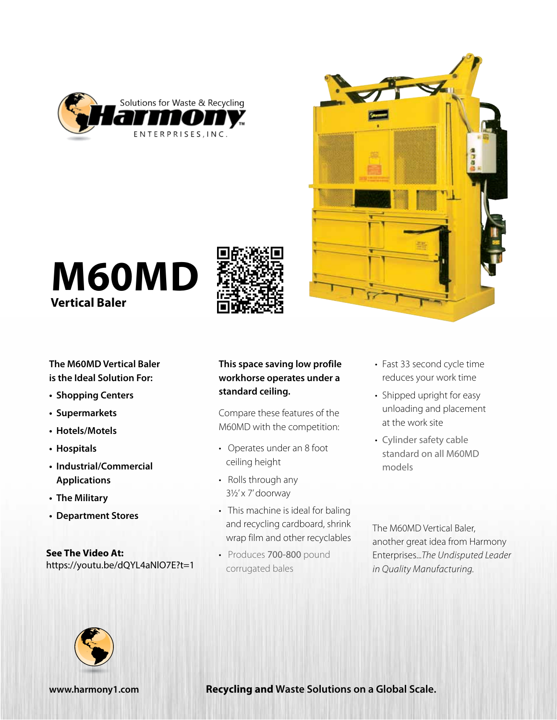



# **M60MD Vertical Baler**



**The M60MD Vertical Baler is the Ideal Solution For:**

- **• Shopping Centers**
- **• Supermarkets**
- **• Hotels/Motels**
- **• Hospitals**
- **• Industrial/Commercial Applications**
- **• The Military**
- **• Department Stores**

**See The Video At:** https://youtu.be/dQYL4aNlO7E?t=1

## **This space saving low profile workhorse operates under a standard ceiling.**

Compare these features of the M60MD with the competition:

- Operates under an 8 foot ceiling height
- Rolls through any 3½' x 7' doorway
- This machine is ideal for baling and recycling cardboard, shrink wrap film and other recyclables
- Produces 700-800 pound corrugated bales
- Fast 33 second cycle time reduces your work time
- Shipped upright for easy unloading and placement at the work site
- Cylinder safety cable standard on all M60MD models

The M60MD Vertical Baler, another great idea from Harmony Enterprises...*The Undisputed Leader in Quality Manufacturing.*



**www.harmony1.com Recycling and Waste Solutions on a Global Scale.**